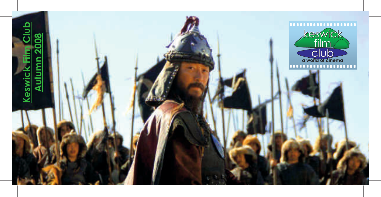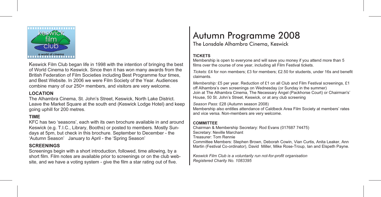

Keswick Film Club began life in 1998 with the intention of bringing the best of World Cinema to Keswick. Since then it has won many awards from the British Federation of Film Societies including Best Programme four times, and Best Website. In 2006 we were Film Society of the Year. Audiences combine many of our 250+ members, and visitors are very welcome.

### LOCATION

The Alhambra Cinema, St. John's Street, Keswick, North Lake District. Leave the Market Square at the south end (Keswick Lodge Hotel) and keep going uphill for 200 metres.

### TIME

KFC has two 'seasons', each with its own brochure available in and around Keswick (e.g. T.I.C., Library, Booths) or posted to members. Mostly Sundays at 5pm, but check in this brochure. September to December - the 'Autumn Season' January to April - the 'Spring Season'

#### **SCREENINGS**

Screenings begin with a short introduction, followed, time allowing, by a short film. Film notes are available prior to screenings or on the club website, and we have a voting system - give the film a star rating out of five.

The Lonsdale Alhambra Cinema, Keswick

#### **TICKETS**

Membership is open to everyone and will save you money if you attend more than 5 films over the course of one year, including all Film Festival tickets.

Tickets: £4 for non members; £3 for members; £2.50 for students, under 16s and benefit claimants.

Membership: £5 per year. Reduction of £1 on all Club and Film Festival screenings, £1 off Alhambra's own screenings on Wednesday (or Sunday in the summer) Join at The Alhambra Cinema, The Necessary Angel (Packhorse Court) or Chairman's' House, 50 St. John's Street, Keswick, or at any club screening

Season Pass: £28 (Autumn season 2008)

Membership also entitles attendance of Caldbeck Area Film Society at members' rates and vice versa. Non-members are very welcome.

#### **COMMITTEE**

Chairman & Membership Secretary: Rod Evans (017687 74475) Secretary: Neville Marchant Treasurer: Tom Rennie Committee Members: Stephen Brown, Deborah Cowin, Vian Curtis, Anita Leaker, Ann Martin (Festival Co-ordinator), David Miller, Mike Rose-Troup, Ian and Elspeth Payne.

Keswick Film Club is a voluntarily run not-for-profit organisation Registered Charity No. 1083395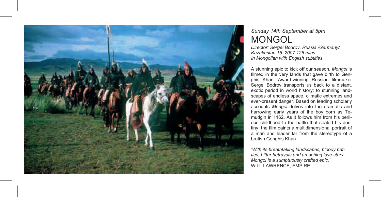

### Sunday 14th September at 5pm MONGOL

Director: Sergei Bodrov. Russia /Germany/ Kazakhstan 15 2007 125 mins In Mongolian with English subtitles

A stunning epic to kick off our season, Mongol is filmed in the very lands that gave birth to Genghis Khan. Award-winning Russian filmmaker Sergei Bodrov transports us back to a distant, exotic period in world history; to stunning landscapes of endless space, climatic extremes and ever-present danger. Based on leading scholarly accounts Mongol delves into the dramatic and harrowing early years of the boy born as Temudgin in 1162. As it follows him from his perilous childhood to the battle that sealed his destiny, the film paints a multidimensional portrait of a man and leader far from the stereotype of a brutish Genghis Khan.

'With its breathtaking landscapes, bloody battles, bitter betrayals and an aching love story, Mongol is a sumptuously crafted epic.' WILL LAWRENCE, EMPIRE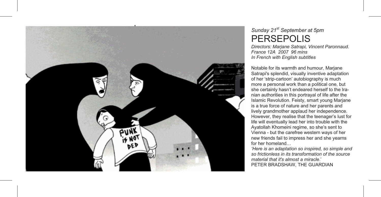

# Sunday 21<sup>st</sup> September at 5pm PERSEPOLIS

Directors: Marjane Satrapi, Vincent Paronnaud. France 12A 2007 96 mins In French with English subtitles

Notable for its warmth and humour, Marjane Satrapi's splendid, visually inventive adaptation of her 'strip-cartoon' autobiography is much more a personal work than a political one, but she certainly hasn't endeared herself to the Iranian authorities in this portrayal of life after the Islamic Revolution. Feisty, smart young Marjane is a true force of nature and her parents and lively grandmother applaud her independence. However, they realise that the teenager's lust for life will eventually lead her into trouble with the Ayatollah Khomeini regime, so she's sent to Vienna - but the carefree western ways of her new friends fail to impress her and she yearns for her homeland…

'Here is an adaptation so inspired, so simple and so frictionless in its transformation of the source material that it's almost a miracle.' PETER BRADSHAW, THE GUARDIAN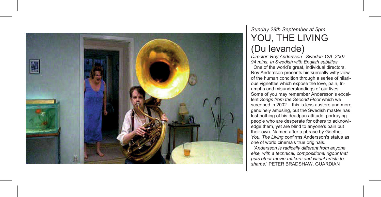

# Sunday 28th September at 5pm YOU, THE LIVING (Du levande)

Director: Roy Andersson. Sweden 12A 2007 94 mins. In Swedish with English subtitles

 One of the world's great, individual directors, Roy Andersson presents his surreally witty view of the human condition through a series of hilarious vignettes which expose the love, pain, triumphs and misunderstandings of our lives. Some of you may remember Andersson's excellent Songs from the Second Floor which we screened in 2002 – this is less austere and more genuinely amusing, but the Swedish master has lost nothing of his deadpan attitude, portraying people who are desperate for others to acknowledge them, yet are blind to anyone's pain but their own. Named after a phrase by Goethe, You, The Living confirms Andersson's status as one of world cinema's true originals.

 'Andersson is radically different from anyone else, with a technical, compositional rigour that puts other movie-makers and visual artists to shame.' PETER BRADSHAW, GUARDIAN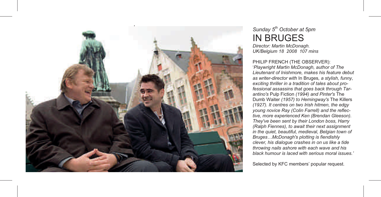

# Sunday  $5<sup>th</sup>$  October at 5pm IN BRUGES

Director: Martin McDonagh. UK/Belgium 18 2008 107 mins

#### PHILIP FRENCH (THE OBSERVER):

'Playwright Martin McDonagh, author of The Lieutenant of Inishmore, makes his feature debut as writer-director with In Bruges, a stylish, funny, exciting thriller in a tradition of tales about professional assassins that goes back through Tarantino's Pulp Fiction (1994) and Pinter's The Dumb Waiter (1957) to Hemingway's The Killers (1927). It centres on two Irish hitmen, the edgy young novice Ray (Colin Farrell) and the reflective, more experienced Ken (Brendan Gleeson). They've been sent by their London boss, Harry (Ralph Fiennes), to await their next assignment in the quiet, beautiful, medieval, Belgian town of Bruges…McDonagh's plotting is fiendishly clever, his dialogue crashes in on us like a tide throwing nails ashore with each wave and his black humour is laced with serious moral issues.'

Selected by KFC members' popular request.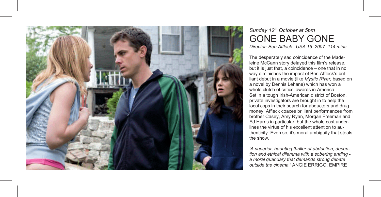

# Sunday  $12^{th}$  October at 5pm GONE BABY GONE

Director: Ben Affleck. USA 15 2007 114 mins

The desperately sad coincidence of the Madeleine McCann story delayed this film's release, but it is just that, a coincidence – one that in no way diminishes the impact of Ben Affleck's brilliant debut in a movie (like Mystic River, based on a novel by Dennis Lehane) which has won a whole clutch of critics' awards in America. Set in a tough Irish-American district of Boston, private investigators are brought in to help the local cops in their search for abductors and drug money. Affleck coaxes brilliant performances from brother Casey, Amy Ryan, Morgan Freeman and Ed Harris in particular, but the whole cast underlines the virtue of his excellent attention to authenticity. Even so, it's moral ambiguity that steals the show.

'A superior, haunting thriller of abduction, deception and ethical dilemma with a sobering ending a moral quandary that demands strong debate outside the cinema.' ANGIE ERRIGO, EMPIRE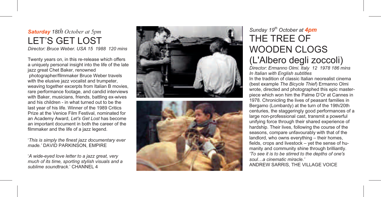# Saturday 18th October at 5pm LET'S GET LOST

Director: Bruce Weber. USA 15 1988 120 mins

Twenty years on, in this re-release which offers a uniquely personal insight into the life of the late jazz great Chet Baker, renowned

 photographer/filmmaker Bruce Weber travels with the elusive jazz vocalist and trumpeter, weaving together excerpts from Italian B movies, rare performance footage, and candid interviews with Baker, musicians, friends, battling ex-wives and his children - in what turned out to be the last year of his life. Winner of the 1989 Critics Prize at the Venice Film Festival, nominated for an Academy Award, Let's Get Lost has become an important document in both the career of the

filmmaker and the life of a jazz legend.<br>'This is simply the finest jazz documentary ever<br>made.' DAVID PARKINSON. EMPIRE

'A wide-eyed love letter to a jazz great, very much of its time, sporting stylish visuals and a sublime soundtrack<sup>'</sup> CHANNEL 4





# Sunday 19<sup>th</sup> October at **4pm** THE TREE OF WOODEN CLOGS (L'Albero degli zoccoli)

Director: Ermanno Olmi. Italy 12 1978 186 mins In Italian with English subtitles In the tradition of classic Italian neorealist cinema (best example The Bicycle Thief) Ermanno Olmi wrote, directed and photographed this epic masterpiece which won him the Palme D'Or at Cannes in 1978. Chronicling the lives of peasant families in Bergamo (Lombardy) at the turn of the 19th/20th centuries, the staggeringly good performances of a large non-professional cast, transmit a powerful unifying force through their shared experience of hardship. Their lives, following the course of the seasons, compare unfavourably with that of the landlord, who owns everything – their homes, fields, crops and livestock – yet the sense of humanity and community shine through brilliantly. 'To see it is to be stirred to the depths of one's soul…a cinematic miracle.' ANDREW SARRIS, THE VILLAGE VOICE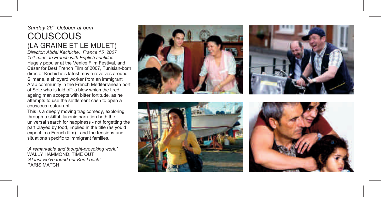# Sunday  $26<sup>th</sup>$  October at 5pm COUSCOUS

n<br>Director: Abdel Kechiche. France 15 2007

151 mins. In French with English subtitles Hugely popular at the Venice Film Festival, and César for Best French Film of 2007, Tunisian-born director Kechiche's latest movie revolves around Slimane, a shipyard worker from an immigrant Arab community in the French Mediterranean port of Sète who is laid off: a blow which the tired, ageing man accepts with bitter fortitude, as he attempts to use the settlement cash to open a couscous restaurant.

This is a deeply moving tragicomedy, exploring through a skilful, laconic narration both the universal search for happiness - not forgetting the part played by food, implied in the title (as you'd expect in a French film) - and the tensions and situations specific to immigrant families.

'A remarkable and thought-provoking work.' WALLY HAMMOND, TIME OUT 'At last we've found our Ken Loach' PARIS MATCH







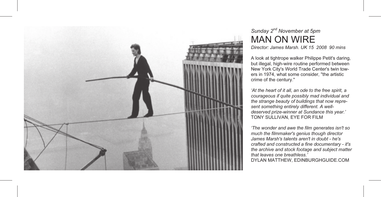

# Sunday  $2^{nd}$  November at 5pm MAN ON WIRE

Director: James Marsh. UK 15 2008 90 mins

A look at tightrope walker Philippe Petit's daring, but illegal, high-wire routine performed between New York City's World Trade Center's twin towers in 1974, what some consider, "the artistic crime of the century."

'At the heart of it all, an ode to the free spirit, a courageous if quite possibly mad individual and the strange beauty of buildings that now represent something entirely different. A welldeserved prize-winner at Sundance this year.' TONY SULLIVAN, EYE FOR FILM

'The wonder and awe the film generates isn't so much the filmmaker's genius though director James Marsh's talents aren't in doubt - he's crafted and constructed a fine documentary - it's the archive and stock footage and subject matter that leaves one breathless.' DYLAN MATTHEW, EDINBURGHGUIDE.COM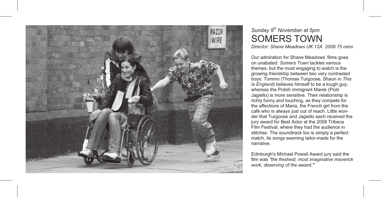

# Sunday 9<sup>th</sup> November at 5pm SOMERS TOWN

Director: Shane Meadows UK 12A 2008 75 mins

Our admiration for Shane Meadows' films goes on unabated: Somers Town tackles various themes, but the most engaging to watch is the growing friendship between two very contrasted boys: Tommo (Thomas Turgoose, Shaun in This Is England) believes himself to be a tough guy, whereas the Polish immigrant Marek (Piotr Jagiello) is more sensitive. Their relationship is richly funny and touching, as they compete for the affections of Maria, the French girl from the café who is always just out of reach. Little wonder that Turgoose and Jagiello each received the jury award for Best Actor at the 2008 Tribeca Film Festival, where they had the audience in stitches. The soundtrack too is simply a perfect match, its songs seeming tailor-made for the narrative.

Edinburgh's Michael Powell Award jury said the film was "the freshest, most imaginative maverick work, deserving of the award."'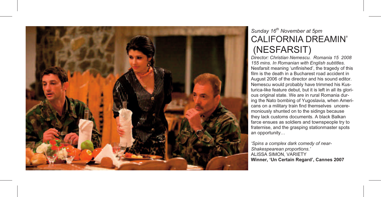

# Sunday 16<sup>th</sup> November at 5pm CALIFORNIA DREAMIN' (NESFARSIT)

Director: Christian Nemescu. Romania 15 2008 155 mins. In Romanian with English subtitles. Nesfarsit meaning 'unfinished', the tragedy of this film is the death in a Bucharest road accident in August 2006 of the director and his sound editor. Nemescu would probably have trimmed his Kusturica-like feature debut, but it is left in all its glorious original state. We are in rural Romania during the Nato bombing of Yugoslavia, when Americans on a military train find themselves unceremoniously shunted on to the sidings because they lack customs documents. A black Balkan farce ensues as soldiers and townspeople try to fraternise, and the grasping stationmaster spots an opportunity…

'Spins a complex dark comedy of near-Shakespearean proportions.' ALISSA SIMON, VARIETY Winner, 'Un Certain Regard', Cannes 2007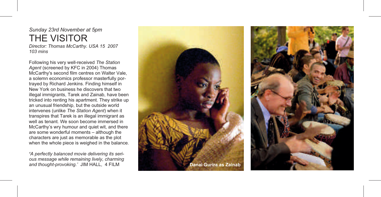# Sunday 23rd November at 5pm THE VISITOR

Director: Thomas McCarthy. USA 15 2007 103 mins

Following his very well-received The Station Agent (screened by KFC in 2004) Thomas McCarthy's second film centres on Walter Vale, a solemn economics professor masterfully portrayed by Richard Jenkins. Finding himself in New York on business he discovers that two illegal immigrants, Tarek and Zainab, have been tricked into renting his apartment. They strike up an unusual friendship, but the outside world intervenes (unlike The Station Agent) when it transpires that Tarek is an illegal immigrant as well as tenant. We soon become immersed in McCarthy's wry humour and quiet wit, and there are some wonderful moments – although the characters are just as memorable as the plot when the whole piece is weighed in the balance.

'A perfectly balanced movie delivering its serious message while remaining lively, charming



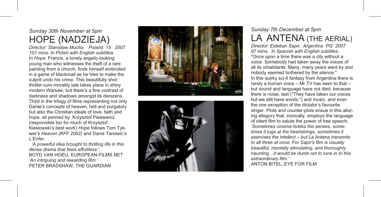### Sunday 30th November at 5pm HOPE (NADZIEJA)

Director: Stanislaw Mucha. Poland 15 2007 101 mins. In Polish with English subtitles. In Hope, Francis, a lonely angelic-looking young man who witnesses the theft of a rare painting from a church, finds himself embroiled in a game of blackmail as he tries to make the culprit undo his crime. This beautifully shot thriller-cum-morality tale takes place in shiny modern Warsaw, but there's a fine contrast of darkness and shadows amongst its denizens. Third in the trilogy of films representing not only Dante's concepts of heaven, hell and purgatory but also the Christian ideals of love, faith and hope, all penned by Krzysztof Piesiewicz (responsible too for much of Krzysztof Kieslowski's best work) Hope follows Tom Tykwer's Heaven (KFF 2002) and Danis Tanowic's L'Enfer.

 'A powerful idea brought to thrilling life in this dense drama that feels effortless.' BOYD VAN HOEIJ, EUROPEAN-FILMS.NET 'An intriguing and rewarding film.' PETER BRADSHAW, THE GUARDIAN





# Sunday 7th December at 5pm LA ANTENA (THE AERIAL)

Director: Esteban Sapir. Argentina PG 2007 97 mins. In Spanish with English subtitles. "Once upon a time there was a city without a voice. Somebody had taken away the voices of all its inhabitants. Many, many years went by and nobody seemed bothered by the silence." In this quirky sci-fi fantasy from Argentina there is rarely a human voice – Mr TV has seen to that – but sound and language have not died, because there is noise, text ("They have taken our voices but we still have words,") and music, and even the one exception of the dictator's favourite singer. Plots and counter-plots ensue in this alluring allegory that, ironically, employs the language of silent film to salute the power of free speech. 'Sometimes cinema tickles the senses, sometimes it tugs at the heartstrings, sometimes it exercises the intellect – but La Antena transmits to all three at once. For Sapir's film is visually beautiful, mentally stimulating, and thoroughly haunting…it would be dumb not to tune in to this extraordinary film.'

ANTON BITEL, EYE FOR FILM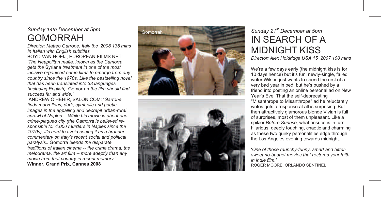### Sunday 14th December at 5pm GOMORRAH

Director: Matteo Garrone. Italy tbc 2008 135 mins In Italian with English subtitles BOYD VAN HOEIJ, EUROPEAN-FILMS.NET: 'The Neapolitan mafia, known as the Camorra, gets the Syriana treatment in one of the most incisive organised-crime films to emerge from any country since the 1970s. Like the bestselling novel that has been translated into 33 languages (including English), Gomorrah the film should find success far and wide.'

 ANDREW O'HEHIR, SALON.COM: 'Garrone finds marvellous, dark, symbolic and poetic images in the appalling and decrepit urban-rural sprawl of Naples… While his movie is about one crime-plagued city (the Camorra is believed responsible for 4,000 murders in Naples since the 1970s), it's hard to avoid seeing it as a broader commentary on Italy's recent social and political paralysis...Gomorra blends the disparate traditions of Italian cinema -- the crime drama, the melodrama, the art film -- more adeptly than any movie from that country in recent memory.' Winner, Grand Prix, Cannes 2008





# Sunday 21<sup>st</sup> December at 5pm IN SEARCH OF A MIDNIGHT KISS

Director: Alex Holdridge USA 15 2007 100 mins

We're a few days early (the midnight kiss is for 10 days hence) but it's fun: newly-single, failed writer Wilson just wants to spend the rest of a very bad year in bed, but he's pushed by a friend into posting an online personal ad on New Year's Eve. That the self-deprecating "Misanthrope to Misanthrope" ad he reluctantly writes gets a response at all is surprising. But then attractively glamorous blonde Vivian is full of surprises, most of them unpleasant. Like a spikier Before Sunrise, what ensues is in turn hilarious, deeply touching, chaotic and charming as these two quirky personalities edge through the Los Angeles evening towards midnight.

 'One of those raunchy-funny, smart and bittersweet no-budget movies that restores your faith in indie film.' ROGER MOORE, ORLANDO SENTINEL